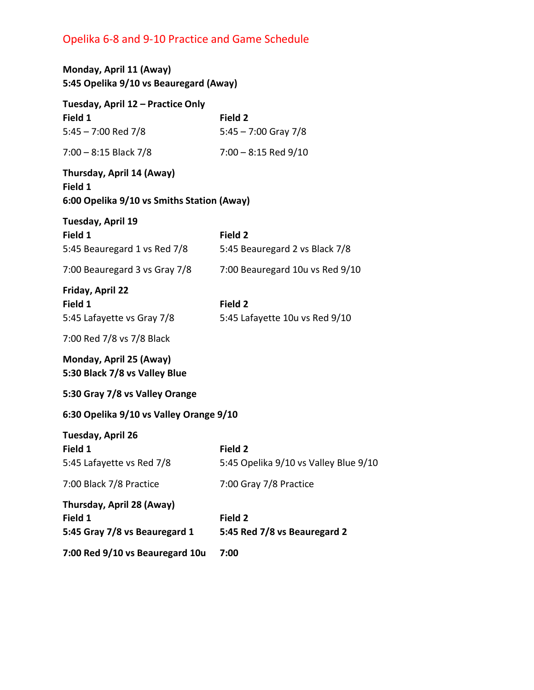## Opelika 6-8 and 9-10 Practice and Game Schedule

| Monday, April 11 (Away)<br>5:45 Opelika 9/10 vs Beauregard (Away)                                                                                  |                                                  |
|----------------------------------------------------------------------------------------------------------------------------------------------------|--------------------------------------------------|
| Tuesday, April 12 – Practice Only<br>Field 1<br>5:45 - 7:00 Red 7/8                                                                                | Field 2<br>$5:45 - 7:00$ Gray $7/8$              |
| 7:00 - 8:15 Black 7/8                                                                                                                              | $7:00 - 8:15$ Red $9/10$                         |
| Thursday, April 14 (Away)<br>Field 1<br>6:00 Opelika 9/10 vs Smiths Station (Away)                                                                 |                                                  |
| Tuesday, April 19<br>Field 1<br>5:45 Beauregard 1 vs Red 7/8                                                                                       | Field 2<br>5:45 Beauregard 2 vs Black 7/8        |
| 7:00 Beauregard 3 vs Gray 7/8                                                                                                                      | 7:00 Beauregard 10u vs Red 9/10                  |
| Friday, April 22<br>Field 1<br>5:45 Lafayette vs Gray 7/8<br>7:00 Red 7/8 vs 7/8 Black<br>Monday, April 25 (Away)<br>5:30 Black 7/8 vs Valley Blue | Field 2<br>5:45 Lafayette 10u vs Red 9/10        |
| 5:30 Gray 7/8 vs Valley Orange                                                                                                                     |                                                  |
| 6:30 Opelika 9/10 vs Valley Orange 9/10                                                                                                            |                                                  |
| Tuesday, April 26<br>Field 1<br>5:45 Lafayette vs Red 7/8                                                                                          | Field 2<br>5:45 Opelika 9/10 vs Valley Blue 9/10 |
| 7:00 Black 7/8 Practice                                                                                                                            | 7:00 Gray 7/8 Practice                           |
| Thursday, April 28 (Away)<br>Field 1<br>5:45 Gray 7/8 vs Beauregard 1                                                                              | Field 2<br>5:45 Red 7/8 vs Beauregard 2          |
| 7:00 Red 9/10 vs Beauregard 10u                                                                                                                    | 7:00                                             |